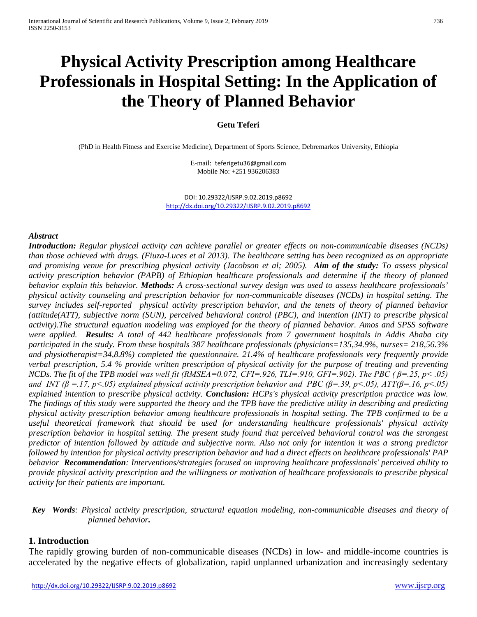# **Physical Activity Prescription among Healthcare Professionals in Hospital Setting: In the Application of the Theory of Planned Behavior**

#### **Getu Teferi**

(PhD in Health Fitness and Exercise Medicine), Department of Sports Science, Debremarkos University, Ethiopia

E-mail: [teferigetu36@gmail.com](mailto:teferigetu36@gmail.com) Mobile No: +251 936206383

DOI: 10.29322/IJSRP.9.02.2019.p8692 <http://dx.doi.org/10.29322/IJSRP.9.02.2019.p8692>

#### *Abstract*

*Introduction: Regular physical activity can achieve parallel or greater effects on non-communicable diseases (NCDs) than those achieved with drugs. (Fiuza-Luces et al 2013). The healthcare setting has been recognized as an appropriate and promising venue for prescribing physical activity (Jacobson et al; 2005). Aim of the study: To assess physical activity prescription behavior (PAPB) of Ethiopian healthcare professionals and determine if the theory of planned behavior explain this behavior. Methods: A cross-sectional survey design was used to assess healthcare professionals' physical activity counseling and prescription behavior for non-communicable diseases (NCDs) in hospital setting. The survey includes self-reported physical activity prescription behavior, and the tenets of theory of planned behavior (attitude(ATT), subjective norm (SUN), perceived behavioral control (PBC), and intention (INT) to prescribe physical activity).The structural equation modeling was employed for the theory of planned behavior. Amos and SPSS software were applied. Results: A total of 442 healthcare professionals from 7 government hospitals in Addis Ababa city participated in the study. From these hospitals 387 healthcare professionals (physicians=135,34.9%, nurses= 218,56.3% and physiotherapist=34,8.8%) completed the questionnaire. 21.4% of healthcare professionals very frequently provide verbal prescription, 5.4 % provide written prescription of physical activity for the purpose of treating and preventing NCDs. The fit of the TPB model was well fit (RMSEA=0.072, CFI=.926, TLI=.910, GFI=.902). The PBC ( β=.25, p< .05) and INT (β =.17, p<.05) explained physical activity prescription behavior and PBC (β=.39, p<.05), ATT(β=.16, p<.05) explained intention to prescribe physical activity. Conclusion: HCPs's physical activity prescription practice was low. The findings of this study were supported the theory and the TPB have the predictive utility in describing and predicting physical activity prescription behavior among healthcare professionals in hospital setting. The TPB confirmed to be a useful theoretical framework that should be used for understanding healthcare professionals' physical activity prescription behavior in hospital setting. The present study found that perceived behavioral control was the strongest predictor of intention followed by attitude and subjective norm. Also not only for intention it was a strong predictor followed by intention for physical activity prescription behavior and had a direct effects on healthcare professionals' PAP behavior Recommendation: Interventions/strategies focused on improving healthcare professionals' perceived ability to provide physical activity prescription and the willingness or motivation of healthcare professionals to prescribe physical activity for their patients are important.* 

*Key Words: Physical activity prescription, structural equation modeling, non-communicable diseases and theory of planned behavior.*

#### **1. Introduction**

The rapidly growing burden of non-communicable diseases (NCDs) in low- and middle-income countries is accelerated by the negative effects of globalization, rapid unplanned urbanization and increasingly sedentary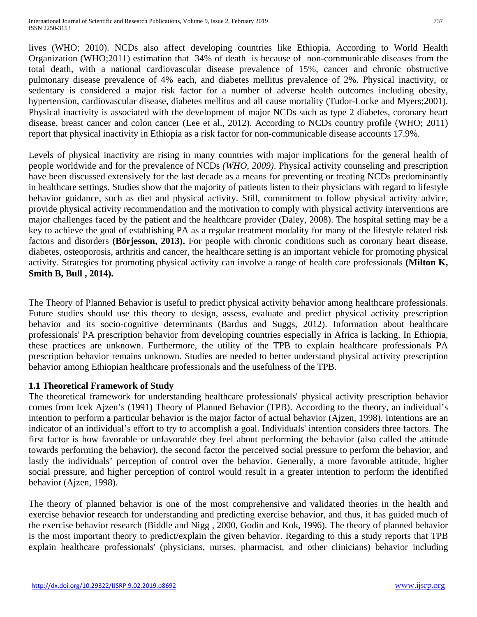lives (WHO; 2010). NCDs also affect developing countries like Ethiopia. According to World Health Organization (WHO;2011) estimation that 34% of death is because of non-communicable diseases from the total death, with a national cardiovascular disease prevalence of 15%, cancer and chronic obstructive pulmonary disease prevalence of 4% each, and diabetes mellitus prevalence of 2%. Physical inactivity, or sedentary is considered a major risk factor for a number of adverse health outcomes including obesity, hypertension, cardiovascular disease, diabetes mellitus and all cause mortality (Tudor-Locke and Myers;2001). Physical inactivity is associated with the development of major NCDs such as type 2 diabetes, coronary heart disease, breast cancer and colon cancer (Lee et al., 2012). According to NCDs country profile (WHO; 2011) report that physical inactivity in Ethiopia as a risk factor for non-communicable disease accounts 17.9%.

Levels of physical inactivity are rising in many countries with major implications for the general health of people worldwide and for the prevalence of NCDs *(WHO, 2009)*. Physical activity counseling and prescription have been discussed extensively for the last decade as a means for preventing or treating NCDs predominantly in healthcare settings. Studies show that the majority of patients listen to their physicians with regard to lifestyle behavior guidance, such as diet and physical activity. Still, commitment to follow physical activity advice, provide physical activity recommendation and the motivation to comply with physical activity interventions are major challenges faced by the patient and the healthcare provider (Daley, 2008). The hospital setting may be a key to achieve the goal of establishing PA as a regular treatment modality for many of the lifestyle related risk factors and disorders **(Börjesson, 2013).** For people with chronic conditions such as coronary heart disease, diabetes, osteoporosis, arthritis and cancer, the healthcare setting is an important vehicle for promoting physical activity. Strategies for promoting physical activity can involve a range of health care professionals **(Milton K, Smith B, Bull , 2014).** 

The Theory of Planned Behavior is useful to predict physical activity behavior among healthcare professionals. Future studies should use this theory to design, assess, evaluate and predict physical activity prescription behavior and its socio-cognitive determinants (Bardus and Suggs, 2012). Information about healthcare professionals' PA prescription behavior from developing countries especially in Africa is lacking. In Ethiopia, these practices are unknown. Furthermore, the utility of the TPB to explain healthcare professionals PA prescription behavior remains unknown. Studies are needed to better understand physical activity prescription behavior among Ethiopian healthcare professionals and the usefulness of the TPB.

## **1.1 Theoretical Framework of Study**

The theoretical framework for understanding healthcare professionals' physical activity prescription behavior comes from Icek Ajzen's (1991) Theory of Planned Behavior (TPB). According to the theory, an individual's intention to perform a particular behavior is the major factor of actual behavior (Ajzen, 1998). Intentions are an indicator of an individual's effort to try to accomplish a goal. Individuals' intention considers three factors. The first factor is how favorable or unfavorable they feel about performing the behavior (also called the attitude towards performing the behavior), the second factor the perceived social pressure to perform the behavior, and lastly the individuals' perception of control over the behavior. Generally, a more favorable attitude, higher social pressure, and higher perception of control would result in a greater intention to perform the identified behavior (Ajzen, 1998).

The theory of planned behavior is one of the most comprehensive and validated theories in the health and exercise behavior research for understanding and predicting exercise behavior, and thus, it has guided much of the exercise behavior research (Biddle and Nigg , 2000, Godin and Kok, 1996). The theory of planned behavior is the most important theory to predict/explain the given behavior. Regarding to this a study reports that TPB explain healthcare professionals' (physicians, nurses, pharmacist, and other clinicians) behavior including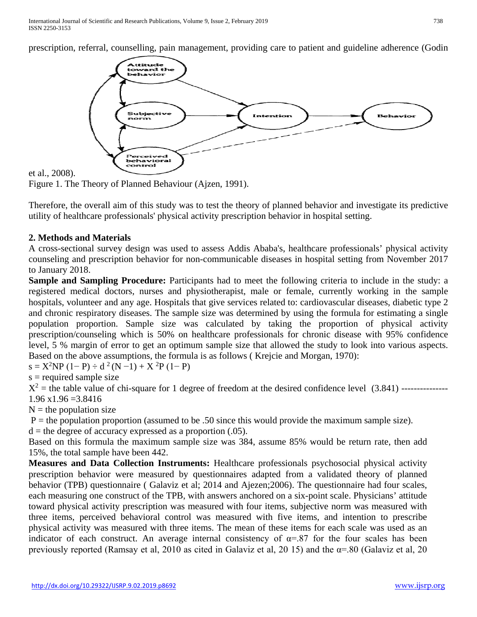prescription, referral, counselling, pain management, providing care to patient and guideline adherence (Godin



#### et al., 2008).

Figure 1. The Theory of Planned Behaviour (Ajzen, 1991).

Therefore, the overall aim of this study was to test the theory of planned behavior and investigate its predictive utility of healthcare professionals' physical activity prescription behavior in hospital setting.

### **2. Methods and Materials**

A cross-sectional survey design was used to assess Addis Ababa's, healthcare professionals' physical activity counseling and prescription behavior for non-communicable diseases in hospital setting from November 2017 to January 2018.

**Sample and Sampling Procedure:** Participants had to meet the following criteria to include in the study: a registered medical doctors, nurses and physiotherapist, male or female, currently working in the sample hospitals, volunteer and any age. Hospitals that give services related to: cardiovascular diseases, diabetic type 2 and chronic respiratory diseases. The sample size was determined by using the formula for estimating a single population proportion. Sample size was calculated by taking the proportion of physical activity prescription/counseling which is 50% on healthcare professionals for chronic disease with 95% confidence level, 5 % margin of error to get an optimum sample size that allowed the study to look into various aspects. Based on the above assumptions, the formula is as follows ( Krejcie and Morgan, 1970):

 $s = X^2NP(1-P) \div d^2(N-1) + X^2P(1-P)$ 

 $s =$  required sample size

 $X^2$  = the table value of chi-square for 1 degree of freedom at the desired confidence level  $(3.841)$  ---------------- $1.96 \times 1.96 = 3.8416$ 

 $N =$  the population size

 $P =$  the population proportion (assumed to be .50 since this would provide the maximum sample size).

 $d =$  the degree of accuracy expressed as a proportion  $(.05)$ .

Based on this formula the maximum sample size was 384, assume 85% would be return rate, then add 15%, the total sample have been 442.

**Measures and Data Collection Instruments:** Healthcare professionals psychosocial physical activity prescription behavior were measured by questionnaires adapted from a validated theory of planned behavior (TPB) questionnaire ( Galaviz et al; 2014 and Ajezen;2006). The questionnaire had four scales, each measuring one construct of the TPB, with answers anchored on a six-point scale. Physicians' attitude toward physical activity prescription was measured with four items, subjective norm was measured with three items, perceived behavioral control was measured with five items, and intention to prescribe physical activity was measured with three items. The mean of these items for each scale was used as an indicator of each construct. An average internal consistency of  $\alpha = .87$  for the four scales has been previously reported (Ramsay et al, 2010 as cited in Galaviz et al, 20 15) and the  $\alpha$ =.80 (Galaviz et al, 20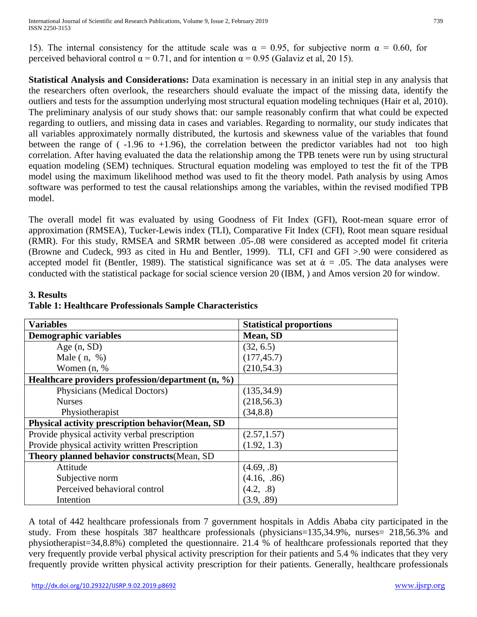15). The internal consistency for the attitude scale was  $\alpha = 0.95$ , for subjective norm  $\alpha = 0.60$ , for perceived behavioral control  $\alpha = 0.71$ , and for intention  $\alpha = 0.95$  (Galaviz et al, 20 15).

**Statistical Analysis and Considerations:** Data examination is necessary in an initial step in any analysis that the researchers often overlook, the researchers should evaluate the impact of the missing data, identify the outliers and tests for the assumption underlying most structural equation modeling techniques (Hair et al, 2010). The preliminary analysis of our study shows that: our sample reasonably confirm that what could be expected regarding to outliers, and missing data in cases and variables. Regarding to normality, our study indicates that all variables approximately normally distributed, the kurtosis and skewness value of the variables that found between the range of  $(-1.96 \text{ to } +1.96)$ , the correlation between the predictor variables had not too high correlation. After having evaluated the data the relationship among the TPB tenets were run by using structural equation modeling (SEM) techniques. Structural equation modeling was employed to test the fit of the TPB model using the maximum likelihood method was used to fit the theory model. Path analysis by using Amos software was performed to test the causal relationships among the variables, within the revised modified TPB model.

The overall model fit was evaluated by using Goodness of Fit Index (GFI), Root-mean square error of approximation (RMSEA), Tucker-Lewis index (TLI), Comparative Fit Index (CFI), Root mean square residual (RMR). For this study, RMSEA and SRMR between .05-.08 were considered as accepted model fit criteria (Browne and Cudeck, 993 as cited in Hu and Bentler, 1999). TLI, CFI and GFI >.90 were considered as accepted model fit (Bentler, 1989). The statistical significance was set at  $\dot{\alpha} = .05$ . The data analyses were conducted with the statistical package for social science version 20 (IBM, ) and Amos version 20 for window.

| <b>Variables</b>                                    | <b>Statistical proportions</b> |
|-----------------------------------------------------|--------------------------------|
| <b>Demographic variables</b>                        | Mean, SD                       |
| Age $(n, SD)$                                       | (32, 6.5)                      |
| Male $(n, %)$                                       | (177, 45.7)                    |
| Women $(n, %$                                       | (210, 54.3)                    |
| Healthcare providers profession/department $(n, %)$ |                                |
| Physicians (Medical Doctors)                        | (135, 34.9)                    |
| <b>Nurses</b>                                       | (218, 56.3)                    |
| Physiotherapist                                     | (34, 8.8)                      |
| Physical activity prescription behavior(Mean, SD    |                                |
| Provide physical activity verbal prescription       | (2.57, 1.57)                   |
| Provide physical activity written Prescription      | (1.92, 1.3)                    |
| Theory planned behavior constructs (Mean, SD)       |                                |
| Attitude                                            | (4.69, .8)                     |
| Subjective norm                                     | (4.16, .86)                    |
| Perceived behavioral control                        | (4.2, .8)                      |
| Intention                                           | (3.9, .89)                     |

## **3. Results Table 1: Healthcare Professionals Sample Characteristics**

A total of 442 healthcare professionals from 7 government hospitals in Addis Ababa city participated in the study. From these hospitals 387 healthcare professionals (physicians=135,34.9%, nurses= 218,56.3% and physiotherapist=34,8.8%) completed the questionnaire. 21.4 % of healthcare professionals reported that they very frequently provide verbal physical activity prescription for their patients and 5.4 % indicates that they very frequently provide written physical activity prescription for their patients. Generally, healthcare professionals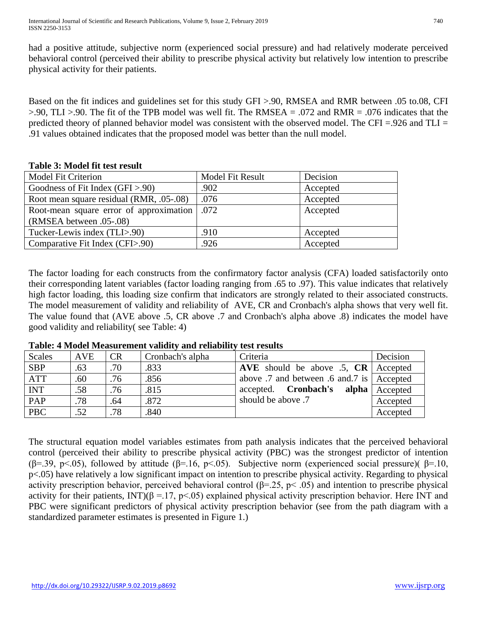had a positive attitude, subjective norm (experienced social pressure) and had relatively moderate perceived behavioral control (perceived their ability to prescribe physical activity but relatively low intention to prescribe physical activity for their patients.

Based on the fit indices and guidelines set for this study GFI >.90, RMSEA and RMR between .05 to.08, CFI  $> 0.90$ , TLI  $> 0.90$ . The fit of the TPB model was well fit. The RMSEA = .072 and RMR = .076 indicates that the predicted theory of planned behavior model was consistent with the observed model. The CFI =.926 and TLI = .91 values obtained indicates that the proposed model was better than the null model.

#### **Table 3: Model fit test result**

| <b>Model Fit Criterion</b>               | <b>Model Fit Result</b> | Decision |
|------------------------------------------|-------------------------|----------|
| Goodness of Fit Index $(GFI > .90)$      | .902                    | Accepted |
| Root mean square residual (RMR, .05-.08) | .076                    | Accepted |
| Root-mean square error of approximation  | .072                    | Accepted |
| (RMSEA between .05-.08)                  |                         |          |
| Tucker-Lewis index (TLI>.90)             | .910                    | Accepted |
| Comparative Fit Index (CFI>.90)          | .926                    | Accepted |

The factor loading for each constructs from the confirmatory factor analysis (CFA) loaded satisfactorily onto their corresponding latent variables (factor loading ranging from .65 to .97). This value indicates that relatively high factor loading, this loading size confirm that indicators are strongly related to their associated constructs. The model measurement of validity and reliability of AVE, CR and Cronbach's alpha shows that very well fit. The value found that (AVE above .5, CR above .7 and Cronbach's alpha above .8) indicates the model have good validity and reliability( see Table: 4)

**Table: 4 Model Measurement validity and reliability test results**

| Scales     | <b>AVE</b> | CR  | Cronbach's alpha | Criteria                                     | Decision |
|------------|------------|-----|------------------|----------------------------------------------|----------|
| <b>SBP</b> | .63        | .70 | .833             | AVE should be above .5, $CR \mid$ Accepted   |          |
| <b>ATT</b> | .60        | .76 | .856             | above .7 and between .6 and .7 is   Accepted |          |
| <b>INT</b> | .58        | .76 | .815             | accepted. <b>Cronbach's</b><br>alpha         | Accepted |
| PAP        | .78        | .64 | .872             | should be above .7                           | Accepted |
| <b>PBC</b> | .52        | .78 | .840             |                                              | Accepted |

The structural equation model variables estimates from path analysis indicates that the perceived behavioral control (perceived their ability to prescribe physical activity (PBC) was the strongest predictor of intention (β=.39, p<.05), followed by attitude (β=.16, p<.05). Subjective norm (experienced social pressure)( β=.10, p<.05) have relatively a low significant impact on intention to prescribe physical activity. Regarding to physical activity prescription behavior, perceived behavioral control  $(\beta = 0.25, \beta < 0.05)$  and intention to prescribe physical activity for their patients, INT)( $\beta = 17$ , p<.05) explained physical activity prescription behavior. Here INT and PBC were significant predictors of physical activity prescription behavior (see from the path diagram with a standardized parameter estimates is presented in Figure 1.)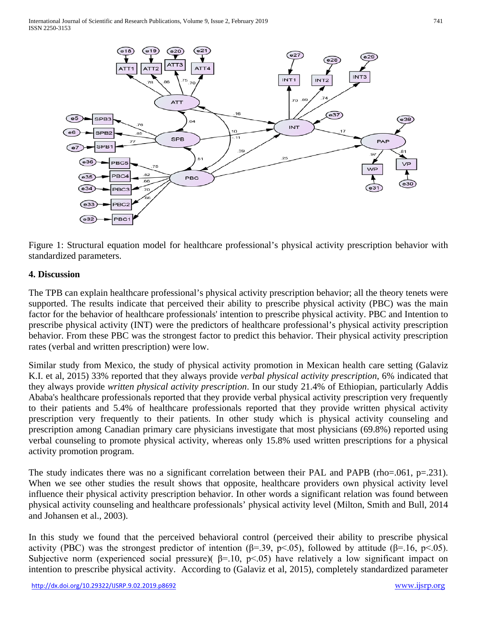

Figure 1: Structural equation model for healthcare professional's physical activity prescription behavior with standardized parameters.

## **4. Discussion**

The TPB can explain healthcare professional's physical activity prescription behavior; all the theory tenets were supported. The results indicate that perceived their ability to prescribe physical activity (PBC) was the main factor for the behavior of healthcare professionals' intention to prescribe physical activity. PBC and Intention to prescribe physical activity (INT) were the predictors of healthcare professional's physical activity prescription behavior. From these PBC was the strongest factor to predict this behavior. Their physical activity prescription rates (verbal and written prescription) were low.

Similar study from Mexico, the study of physical activity promotion in Mexican health care setting (Galaviz K.I. et al, 2015) 33% reported that they always provide *verbal physical activity prescription*, 6% indicated that they always provide *written physical activity prescription*. In our study 21.4% of Ethiopian, particularly Addis Ababa's healthcare professionals reported that they provide verbal physical activity prescription very frequently to their patients and 5.4% of healthcare professionals reported that they provide written physical activity prescription very frequently to their patients. In other study which is physical activity counseling and prescription among Canadian primary care physicians investigate that most physicians (69.8%) reported using verbal counseling to promote physical activity, whereas only 15.8% used written prescriptions for a physical activity promotion program.

The study indicates there was no a significant correlation between their PAL and PAPB (rho=.061, p=.231). When we see other studies the result shows that opposite, healthcare providers own physical activity level influence their physical activity prescription behavior. In other words a significant relation was found between physical activity counseling and healthcare professionals' physical activity level (Milton, Smith and Bull, 2014 and Johansen et al., 2003).

In this study we found that the perceived behavioral control (perceived their ability to prescribe physical activity (PBC) was the strongest predictor of intention ( $\beta$ =.39, p<.05), followed by attitude ( $\beta$ =.16, p<.05). Subjective norm (experienced social pressure)(  $\beta$ =.10, p<.05) have relatively a low significant impact on intention to prescribe physical activity. According to (Galaviz et al, 2015), completely standardized parameter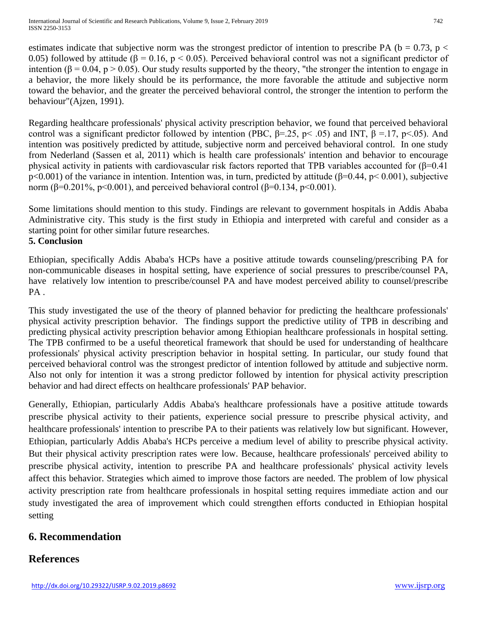estimates indicate that subjective norm was the strongest predictor of intention to prescribe PA ( $b = 0.73$ ,  $p <$ 0.05) followed by attitude (β = 0.16, p < 0.05). Perceived behavioral control was not a significant predictor of intention ( $\beta$  = 0.04, p > 0.05). Our study results supported by the theory, "the stronger the intention to engage in a behavior, the more likely should be its performance, the more favorable the attitude and subjective norm toward the behavior, and the greater the perceived behavioral control, the stronger the intention to perform the behaviour"(Ajzen, 1991).

Regarding healthcare professionals' physical activity prescription behavior, we found that perceived behavioral control was a significant predictor followed by intention (PBC,  $\beta$ =.25, p< .05) and INT,  $\beta$ =.17, p<.05). And intention was positively predicted by attitude, subjective norm and perceived behavioral control. In one study from Nederland (Sassen et al, 2011) which is health care professionals' intention and behavior to encourage physical activity in patients with cardiovascular risk factors reported that TPB variables accounted for  $(\beta=0.41)$ p<0.001) of the variance in intention. Intention was, in turn, predicted by attitude (β=0.44, p< 0.001), subjective norm (β=0.201%, p<0.001), and perceived behavioral control (β=0.134, p<0.001).

Some limitations should mention to this study. Findings are relevant to government hospitals in Addis Ababa Administrative city. This study is the first study in Ethiopia and interpreted with careful and consider as a starting point for other similar future researches. **5. Conclusion**

Ethiopian, specifically Addis Ababa's HCPs have a positive attitude towards counseling/prescribing PA for non-communicable diseases in hospital setting, have experience of social pressures to prescribe/counsel PA, have relatively low intention to prescribe/counsel PA and have modest perceived ability to counsel/prescribe PA.

This study investigated the use of the theory of planned behavior for predicting the healthcare professionals' physical activity prescription behavior. The findings support the predictive utility of TPB in describing and predicting physical activity prescription behavior among Ethiopian healthcare professionals in hospital setting. The TPB confirmed to be a useful theoretical framework that should be used for understanding of healthcare professionals' physical activity prescription behavior in hospital setting. In particular, our study found that perceived behavioral control was the strongest predictor of intention followed by attitude and subjective norm. Also not only for intention it was a strong predictor followed by intention for physical activity prescription behavior and had direct effects on healthcare professionals' PAP behavior.

Generally, Ethiopian, particularly Addis Ababa's healthcare professionals have a positive attitude towards prescribe physical activity to their patients, experience social pressure to prescribe physical activity, and healthcare professionals' intention to prescribe PA to their patients was relatively low but significant. However, Ethiopian, particularly Addis Ababa's HCPs perceive a medium level of ability to prescribe physical activity. But their physical activity prescription rates were low. Because, healthcare professionals' perceived ability to prescribe physical activity, intention to prescribe PA and healthcare professionals' physical activity levels affect this behavior. Strategies which aimed to improve those factors are needed. The problem of low physical activity prescription rate from healthcare professionals in hospital setting requires immediate action and our study investigated the area of improvement which could strengthen efforts conducted in Ethiopian hospital setting

# **6. Recommendation**

# **References**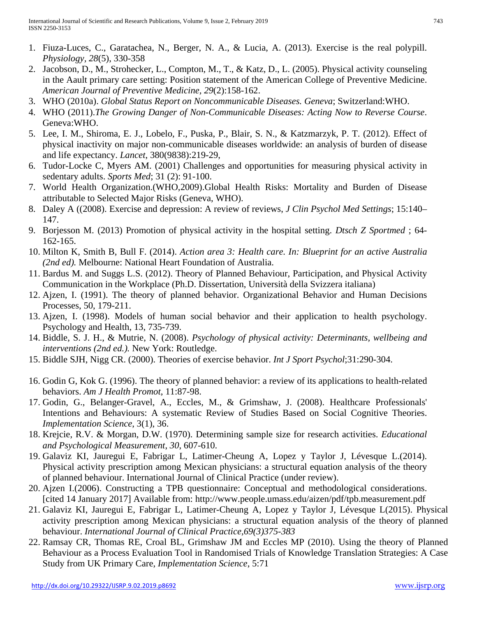- 1. Fiuza-Luces, C., Garatachea, N., Berger, N. A., & Lucia, A. (2013). Exercise is the real polypill. *Physiology, 28*(5), 330-358
- 2. Jacobson, D., M., Strohecker, L., Compton, M., T., & Katz, D., L. (2005). Physical activity counseling in the Aault primary care setting: Position statement of the American College of Preventive Medicine. *American Journal of Preventive Medicine, 29*(2):158-162.
- 3. WHO (2010a). *Global Status Report on Noncommunicable Diseases. Geneva*; Switzerland:WHO.
- 4. WHO (2011).*The Growing Danger of Non-Communicable Diseases: Acting Now to Reverse Course*. Geneva:WHO.
- 5. Lee, I. M., Shiroma, E. J., Lobelo, F., Puska, P., Blair, S. N., & Katzmarzyk, P. T. (2012). Effect of physical inactivity on major non-communicable diseases worldwide: an analysis of burden of disease and life expectancy. *Lancet*, 380(9838):219-29,
- 6. Tudor-Locke C, Myers AM. (2001) Challenges and opportunities for measuring physical activity in sedentary adults. *Sports Med*; 31 (2): 91-100.
- 7. World Health Organization.(WHO,2009).Global Health Risks: Mortality and Burden of Disease attributable to Selected Major Risks (Geneva, WHO).
- 8. Daley A ((2008). Exercise and depression: A review of reviews, *J Clin Psychol Med Settings*; 15:140– 147.
- 9. Borjesson M. (2013) Promotion of physical activity in the hospital setting. *Dtsch Z Sportmed* ; 64- 162-165.
- 10. Milton K, Smith B, Bull F. (2014). *Action area 3: Health care. In: Blueprint for an active Australia (2nd ed).* Melbourne: National Heart Foundation of Australia.
- 11. Bardus M. and Suggs L.S. (2012). Theory of Planned Behaviour, Participation, and Physical Activity Communication in the Workplace (Ph.D. Dissertation, Università della Svizzera italiana)
- 12. Ajzen, I. (1991). The theory of planned behavior. Organizational Behavior and Human Decisions Processes, 50, 179-211.
- 13. Ajzen, I. (1998). Models of human social behavior and their application to health psychology. Psychology and Health, 13, 735-739.
- 14. Biddle, S. J. H., & Mutrie, N. (2008). *Psychology of physical activity: Determinants, wellbeing and interventions (2nd ed.).* New York: Routledge.
- 15. Biddle SJH, Nigg CR. (2000). Theories of exercise behavior. *Int J Sport Psychol*;31:290-304.
- 16. Godin G, Kok G. (1996). The theory of planned behavior: a review of its applications to health-related behaviors. *Am J Health Promot*, 11:87-98.
- 17. Godin, G., Belanger-Gravel, A., Eccles, M., & Grimshaw, J. (2008). Healthcare Professionals' Intentions and Behaviours: A systematic Review of Studies Based on Social Cognitive Theories. *Implementation Science*, 3(1), 36.
- 18. Krejcie, R.V. & Morgan, D.W. (1970). Determining sample size for research activities. *Educational and Psychological Measurement*, *30*, 607-610.
- 19. Galaviz KI, Jauregui E, Fabrigar L, Latimer-Cheung A, Lopez y Taylor J, Lévesque L.(2014). Physical activity prescription among Mexican physicians: a structural equation analysis of the theory of planned behaviour. International Journal of Clinical Practice (under review).
- 20. Ajzen I.(2006). Constructing a TPB questionnaire: Conceptual and methodological considerations. [cited 14 January 2017] Available from: http://www.people.umass.edu/aizen/pdf/tpb.measurement.pdf
- 21. Galaviz KI, Jauregui E, Fabrigar L, Latimer-Cheung A, Lopez y Taylor J, Lévesque L(2015). Physical activity prescription among Mexican physicians: a structural equation analysis of the theory of planned behaviour. *International Journal of Clinical Practice,69(3)375-383*
- 22. Ramsay CR, Thomas RE, Croal BL, Grimshaw JM and Eccles MP (2010). Using the theory of Planned Behaviour as a Process Evaluation Tool in Randomised Trials of Knowledge Translation Strategies: A Case Study from UK Primary Care, *Implementation Science*, 5:71